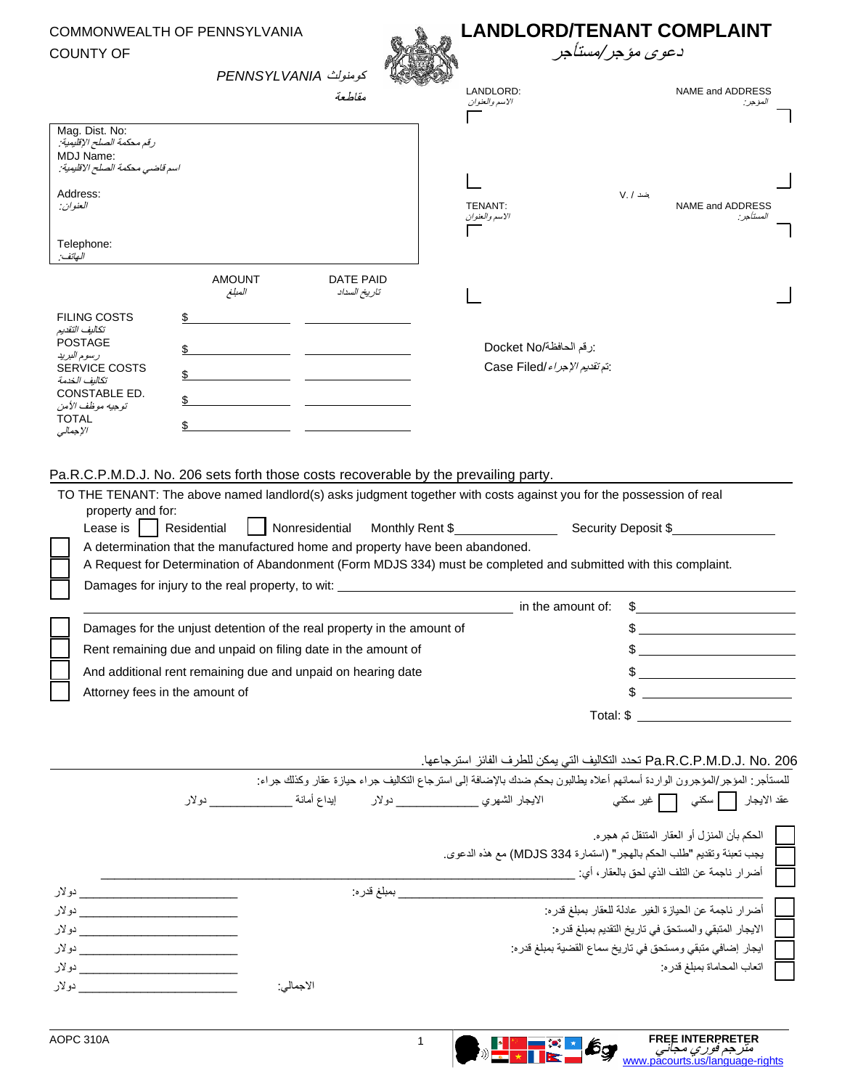## COMMONWEALTH OF PENNSYLVANIA COUNTY OF





| סטוויו טר                                                                                      |                                                                                             |                           | تری موجر ست جر                                                                                                                     |                                                                                         |  |
|------------------------------------------------------------------------------------------------|---------------------------------------------------------------------------------------------|---------------------------|------------------------------------------------------------------------------------------------------------------------------------|-----------------------------------------------------------------------------------------|--|
|                                                                                                | كومنولث PENNSYLVANIA                                                                        | مقلطعة                    | LANDLORD:                                                                                                                          | NAME and ADDRESS                                                                        |  |
|                                                                                                |                                                                                             |                           | الاسم والعنوان                                                                                                                     | المؤجر :                                                                                |  |
| Mag. Dist. No:<br>رقم محكمة الصلح الإقليمية .<br>MDJ Name:<br>اسم قاضي محكمة الصلح الاقليمية:  |                                                                                             |                           |                                                                                                                                    |                                                                                         |  |
| Address:<br>العنوان:                                                                           |                                                                                             |                           | TENANT:<br>الاسم والعنوان                                                                                                          | ضد / .V<br>NAME and ADDRESS<br>المستاجر :                                               |  |
| Telephone:<br>الهاتف:                                                                          |                                                                                             |                           |                                                                                                                                    |                                                                                         |  |
|                                                                                                | <b>AMOUNT</b><br>المبلغ                                                                     | DATE PAID<br>تاريخ السداد |                                                                                                                                    |                                                                                         |  |
| <b>FILING COSTS</b>                                                                            |                                                                                             |                           |                                                                                                                                    |                                                                                         |  |
| تكاليف التقديم<br><b>POSTAGE</b>                                                               |                                                                                             |                           | :رقم الحافظة/Docket No                                                                                                             |                                                                                         |  |
| رسوم البريد<br><b>SERVICE COSTS</b>                                                            |                                                                                             |                           | :تم تقديم // هر/ Case Filed/                                                                                                       |                                                                                         |  |
| تكاليف الخدمة                                                                                  |                                                                                             |                           |                                                                                                                                    |                                                                                         |  |
| CONSTABLE ED.<br>تو جيه موظف الأمن                                                             |                                                                                             |                           |                                                                                                                                    |                                                                                         |  |
| <b>TOTAL</b><br>الإجمالى                                                                       | \$                                                                                          |                           |                                                                                                                                    |                                                                                         |  |
|                                                                                                |                                                                                             |                           |                                                                                                                                    |                                                                                         |  |
|                                                                                                | Pa.R.C.P.M.D.J. No. 206 sets forth those costs recoverable by the prevailing party.         |                           |                                                                                                                                    |                                                                                         |  |
| property and for:<br>Lease is                                                                  | Residential<br>A determination that the manufactured home and property have been abandoned. | Nonresidential            | Monthly Rent \$<br>A Request for Determination of Abandonment (Form MDJS 334) must be completed and submitted with this complaint. | Security Deposit \$                                                                     |  |
|                                                                                                | Damages for injury to the real property, to wit:                                            |                           | in the amount of:                                                                                                                  |                                                                                         |  |
|                                                                                                |                                                                                             |                           |                                                                                                                                    | \$                                                                                      |  |
| Damages for the unjust detention of the real property in the amount of                         |                                                                                             |                           |                                                                                                                                    |                                                                                         |  |
| Rent remaining due and unpaid on filing date in the amount of                                  |                                                                                             |                           |                                                                                                                                    |                                                                                         |  |
| And additional rent remaining due and unpaid on hearing date<br>Attorney fees in the amount of |                                                                                             |                           |                                                                                                                                    |                                                                                         |  |
|                                                                                                |                                                                                             |                           |                                                                                                                                    |                                                                                         |  |
|                                                                                                |                                                                                             |                           |                                                                                                                                    |                                                                                         |  |
|                                                                                                |                                                                                             |                           |                                                                                                                                    |                                                                                         |  |
|                                                                                                |                                                                                             |                           | Pa.R.C.P.M.D.J. No. 206 تحدد التكاليف التي يمكن للطرف الفائز استرجاعها.                                                            |                                                                                         |  |
|                                                                                                |                                                                                             |                           | للمستأجر : المؤجر /المؤجرون الواردة أسمائهم أعلاه يطالبون بحكم ضدك بالإضافة إلى استرجاع التكاليف جراء حيازة عقار وكذلك جراء:       |                                                                                         |  |
|                                                                                                |                                                                                             |                           | عقد الايجار     سكنـي     غير سكنـي                       الايجار الشـهرـي ________________________ دولار                          |                                                                                         |  |
|                                                                                                |                                                                                             |                           |                                                                                                                                    | الحكم بأن المنزل أو العقار المتنقل تم هجره.                                             |  |
|                                                                                                |                                                                                             |                           | يجب تعبئة وتقديم "طلب الحكم بالهجر" (استمارة 334 MDJS) مع هذه الدعوى.                                                              |                                                                                         |  |
|                                                                                                |                                                                                             |                           |                                                                                                                                    | أضر ار ناجمة عن التلف الذي لحق بالعقار ، أي: إ                                          |  |
|                                                                                                |                                                                                             | __ بمبلغ قدر ه:           |                                                                                                                                    |                                                                                         |  |
|                                                                                                |                                                                                             |                           |                                                                                                                                    | أضرار ناجمة عن الحيازة الغير عادلة للعقار بمبلغ قدره:                                   |  |
|                                                                                                |                                                                                             |                           |                                                                                                                                    | الايجار المتبقى والمستحق في تاريخ التقديم بمبلغ قدره:                                   |  |
|                                                                                                |                                                                                             |                           |                                                                                                                                    | ايجار إضافي متبقى ومستحق في تاريخ سماع القضية بمبلغ قدره:<br>اتعاب المحاماة بمبلغ قدره: |  |
|                                                                                                | الاجمالي:                                                                                   |                           |                                                                                                                                    |                                                                                         |  |
|                                                                                                |                                                                                             |                           |                                                                                                                                    |                                                                                         |  |